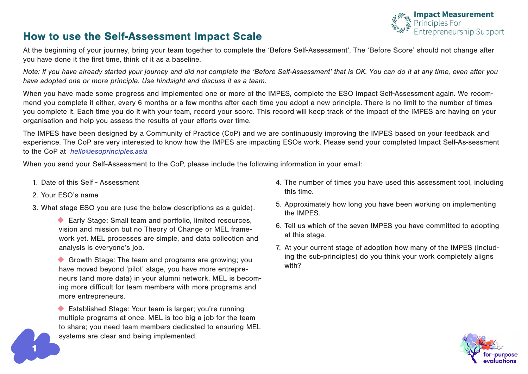

# How to use the Self-Assessment Impact Scale

At the beginning of your journey, bring your team together to complete the 'Before Self-Assessment'. The 'Before Score' should not change after you have done it the first time, think of it as a baseline.

*Note: If you have already started your journey and did not complete the 'Before Self-Assessment' that is OK. You can do it at any time, even after you have adopted one or more principle.* U*se hindsight and discuss it as a team.*

When you have made some progress and implemented one or more of the IMPES, complete the ESO Impact Self-Assessment again. We recommend you complete it either, every 6 months or a few months after each time you adopt a new principle. There is no limit to the number of times you complete it. Each time you do it with your team, record your score. This record will keep track of the impact of the IMPES are having on your organisation and help you assess the results of your efforts over time.

The IMPES have been designed by a Community of Practice (CoP) and we are continuously improving the IMPES based on your feedback and experience. The CoP are very interested to know how the IMPES are impacting ESOs work. Please send your completed Impact Self-As-sessment to the CoP at *hello@esoprinciples.asia*

When you send your Self-Assessment to the CoP, please include the following information in your email:

- 1. Date of this Self Assessment
- 2. Your ESO's name

1

3. What stage ESO you are (use the below descriptions as a guide).

◆ Early Stage: Small team and portfolio, limited resources, vision and mission but no Theory of Change or MEL framework yet. MEL processes are simple, and data collection and analysis is everyone's job.

Growth Stage: The team and programs are growing; you have moved beyond 'pilot' stage, you have more entrepreneurs (and more data) in your alumni network. MEL is becoming more difficult for team members with more programs and more entrepreneurs.

◆ Established Stage: Your team is larger; you're running multiple programs at once. MEL is too big a job for the team to share; you need team members dedicated to ensuring MEL systems are clear and being implemented.

- 4. The number of times you have used this assessment tool, including this time.
- 5. Approximately how long you have been working on implementing the IMPES.
- 6. Tell us which of the seven IMPES you have committed to adopting at this stage.
- 7. At your current stage of adoption how many of the IMPES (including the sub-principles) do you think your work completely aligns with?

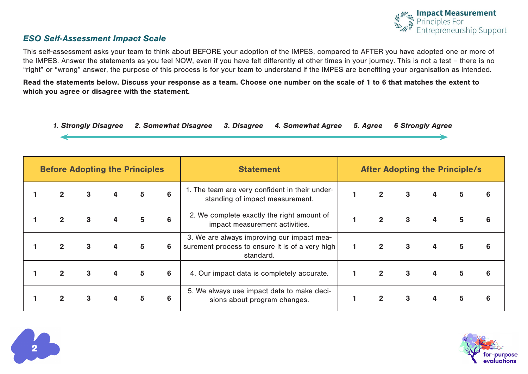

# ESO Self-Assessment Impact Scale

This self-assessment asks your team to think about BEFORE your adoption of the IMPES, compared to AFTER you have adopted one or more of the IMPES. Answer the statements as you feel NOW, even if you have felt differently at other times in your journey. This is not a test – there is no "right" or "wrong" answer, the purpose of this process is for your team to understand if the IMPES are benefiting your organisation as intended.

Read the statements below. Discuss your response as a team. Choose one number on the scale of 1 to 6 that matches the extent to which you agree or disagree with the statement.

1. Strongly Disagree 2. Somewhat Disagree 3. Disagree 4. Somewhat Agree 5. Agree 6 Strongly Agree

| <b>Before Adopting the Principles</b> |                |   |   |   |   | <b>Statement</b>                                                                                           | <b>After Adopting the Principle/s</b> |                        |   |   |   |   |
|---------------------------------------|----------------|---|---|---|---|------------------------------------------------------------------------------------------------------------|---------------------------------------|------------------------|---|---|---|---|
|                                       | $\mathbf{2}$   | 3 | 4 | 5 | 6 | 1. The team are very confident in their under-<br>standing of impact measurement.                          | $\mathbf{2}$<br>3                     |                        |   | 4 | 5 | 6 |
|                                       | $\overline{2}$ | 3 | 4 | 5 | 6 | 2. We complete exactly the right amount of<br>impact measurement activities.                               |                                       | 3<br>$\mathbf{2}$<br>4 |   |   |   | 6 |
|                                       | $\mathbf{2}$   | 3 | 4 | 5 | 6 | 3. We are always improving our impact mea-<br>surement process to ensure it is of a very high<br>standard. | $\mathbf{2}$                          |                        | 3 |   |   |   |
|                                       | $\mathbf{2}$   | 3 | 4 | 5 | 6 | 4. Our impact data is completely accurate.                                                                 | $\mathbf{2}$<br>3<br>4                |                        | 5 |   |   |   |
|                                       | $\mathbf{2}$   | 3 | 4 | 5 | 6 | 5. We always use impact data to make deci-<br>sions about program changes.                                 |                                       | $\mathbf{2}$           | 3 | 4 | 5 | 6 |

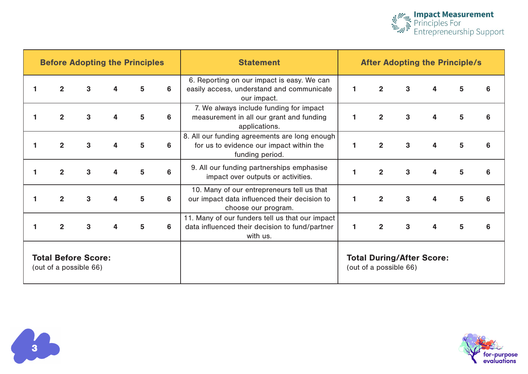

| <b>Before Adopting the Principles</b> |                                                      |              |   |   |   | <b>Statement</b>                                                                                                  |                                                            | <b>After Adopting the Principle/s</b> |  |   |   | 5<br>6<br>5<br>6<br>5<br>6 |  |  |  |  |
|---------------------------------------|------------------------------------------------------|--------------|---|---|---|-------------------------------------------------------------------------------------------------------------------|------------------------------------------------------------|---------------------------------------|--|---|---|----------------------------|--|--|--|--|
| 1                                     | $\overline{2}$                                       | 3            | 4 | 5 | 6 | 6. Reporting on our impact is easy. We can<br>easily access, understand and communicate<br>our impact.            | $\overline{2}$<br>3<br>1<br>4                              |                                       |  |   |   |                            |  |  |  |  |
| 1                                     | $\overline{2}$                                       | 3            | 4 | 5 | 6 | 7. We always include funding for impact<br>measurement in all our grant and funding<br>applications.              | 3<br>$\overline{2}$<br>4                                   |                                       |  |   |   |                            |  |  |  |  |
| 1                                     | $\overline{2}$                                       | 3            | 4 | 5 | 6 | 8. All our funding agreements are long enough<br>for us to evidence our impact within the<br>funding period.      | $\overline{2}$<br>3<br>4<br>1                              |                                       |  |   |   |                            |  |  |  |  |
| 1                                     | $\overline{2}$                                       | 3            | 4 | 5 | 6 | 9. All our funding partnerships emphasise<br>impact over outputs or activities.                                   | 1<br>$\overline{2}$<br>$\mathbf{3}$<br>4                   |                                       |  |   | 5 | 6                          |  |  |  |  |
| 1.                                    | $\overline{2}$                                       | 3            | 4 | 5 | 6 | 10. Many of our entrepreneurs tell us that<br>our impact data influenced their decision to<br>choose our program. | 3<br>$\mathbf{2}$<br>5<br>1<br>4                           |                                       |  |   | 6 |                            |  |  |  |  |
| 1                                     | $\overline{2}$                                       | $\mathbf{3}$ | 4 | 5 | 6 | 11. Many of our funders tell us that our impact<br>data influenced their decision to fund/partner<br>with us.     | 3<br>$\overline{2}$<br>5<br>1<br>4                         |                                       |  | 6 |   |                            |  |  |  |  |
|                                       | <b>Total Before Score:</b><br>(out of a possible 66) |              |   |   |   |                                                                                                                   | <b>Total During/After Score:</b><br>(out of a possible 66) |                                       |  |   |   |                            |  |  |  |  |